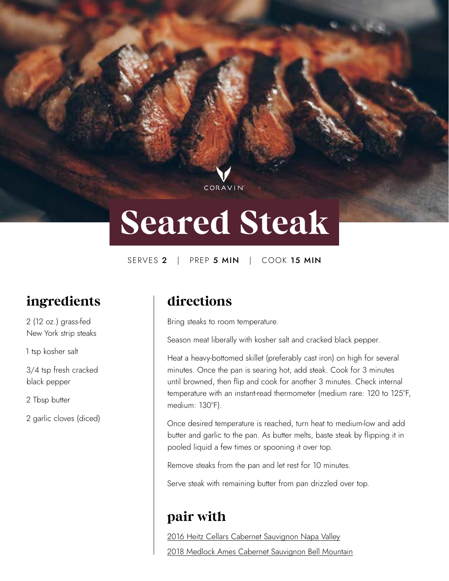# **Seared Steak**

CORAVIN

SERVES 2 | PREP 5 MIN | COOK 15 MIN

## **ingredients**

2 (12 oz.) grass-fed New York strip steaks

1 tsp kosher salt

3/4 tsp fresh cracked black pepper

2 Tbsp butter

2 garlic cloves (diced)

#### **directions**

Bring steaks to room temperature.

Season meat liberally with kosher salt and cracked black pepper.

Heat a heavy-bottomed skillet (preferably cast iron) on high for several minutes. Once the pan is searing hot, add steak. Cook for 3 minutes until browned, then flip and cook for another 3 minutes. Check internal temperature with an instant-read thermometer (medium rare: 120 to 125°F, medium: 130°F).

Once desired temperature is reached, turn heat to medium-low and add butter and garlic to the pan. As butter melts, baste steak by flipping it in pooled liquid a few times or spooning it over top.

Remove steaks from the pan and let rest for 10 minutes.

Serve steak with remaining butter from pan drizzled over top.

#### **pair with**

2016 Heitz Cellars Cabernet Sauvignon Napa Valley 2018 Medlock Ames Cabernet Sauvignon Bell Mountain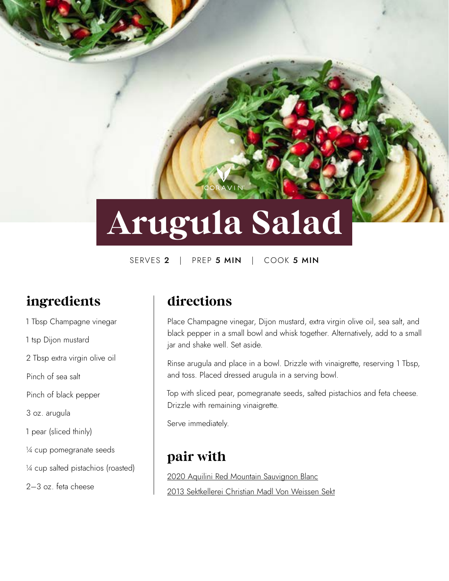# **Arugula Salad**

SERVES 2 | PREP 5 MIN | COOK 5 MIN

## **ingredients**

1 Tbsp Champagne vinegar 1 tsp Dijon mustard 2 Tbsp extra virgin olive oil Pinch of sea salt Pinch of black pepper 3 oz. arugula 1 pear (sliced thinly) ¼ cup pomegranate seeds ¼ cup salted pistachios (roasted) 2–3 oz. feta cheese

#### **directions**

Place Champagne vinegar, Dijon mustard, extra virgin olive oil, sea salt, and black pepper in a small bowl and whisk together. Alternatively, add to a small jar and shake well. Set aside.

Rinse arugula and place in a bowl. Drizzle with vinaigrette, reserving 1 Tbsp, and toss. Placed dressed arugula in a serving bowl.

Top with sliced pear, pomegranate seeds, salted pistachios and feta cheese. Drizzle with remaining vinaigrette.

Serve immediately.

#### **pair with**

2020 Aquilini Red Mountain Sauvignon Blanc 2013 Sektkellerei Christian Madl Von Weissen Sekt